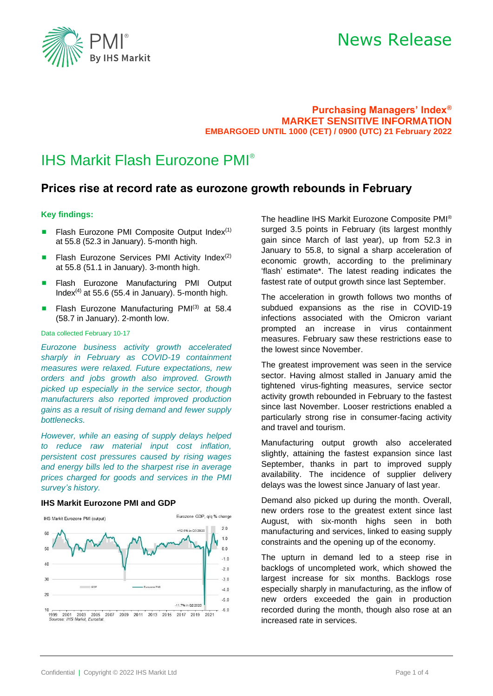

### **Purchasing Managers' Index® MARKET SENSITIVE INFORMATION EMBARGOED UNTIL 1000 (CET) / 0900 (UTC) 21 February 2022**

## IHS Markit Flash Eurozone PMI®

## **Prices rise at record rate as eurozone growth rebounds in February**

### **Key findings:**

- Flash Eurozone PMI Composite Output Index $(1)$ at 55.8 (52.3 in January). 5-month high.
- **E** Flash Eurozone Services PMI Activity Index<sup>(2)</sup> at 55.8 (51.1 in January). 3-month high.
- Flash Eurozone Manufacturing PMI Output Index<sup>(4)</sup> at 55.6 (55.4 in January). 5-month high.
- **Example 1** Flash Eurozone Manufacturing PMI<sup>(3)</sup> at 58.4 (58.7 in January). 2-month low.

#### Data collected February 10-17

*Eurozone business activity growth accelerated sharply in February as COVID-19 containment measures were relaxed. Future expectations, new orders and jobs growth also improved. Growth picked up especially in the service sector, though manufacturers also reported improved production gains as a result of rising demand and fewer supply bottlenecks.* 

*However, while an easing of supply delays helped to reduce raw material input cost inflation, persistent cost pressures caused by rising wages and energy bills led to the sharpest rise in average prices charged for goods and services in the PMI survey's history.* 

#### **IHS Markit Eurozone PMI and GDP**



The headline IHS Markit Eurozone Composite PMI® surged 3.5 points in February (its largest monthly gain since March of last year), up from 52.3 in January to 55.8, to signal a sharp acceleration of economic growth, according to the preliminary 'flash' estimate\*. The latest reading indicates the fastest rate of output growth since last September.

The acceleration in growth follows two months of subdued expansions as the rise in COVID-19 infections associated with the Omicron variant prompted an increase in virus containment measures. February saw these restrictions ease to the lowest since November.

The greatest improvement was seen in the service sector. Having almost stalled in January amid the tightened virus-fighting measures, service sector activity growth rebounded in February to the fastest since last November. Looser restrictions enabled a particularly strong rise in consumer-facing activity and travel and tourism.

Manufacturing output growth also accelerated slightly, attaining the fastest expansion since last September, thanks in part to improved supply availability. The incidence of supplier delivery delays was the lowest since January of last year.

Demand also picked up during the month. Overall, new orders rose to the greatest extent since last August, with six-month highs seen in both manufacturing and services, linked to easing supply constraints and the opening up of the economy.

The upturn in demand led to a steep rise in backlogs of uncompleted work, which showed the largest increase for six months. Backlogs rose especially sharply in manufacturing, as the inflow of new orders exceeded the gain in production recorded during the month, though also rose at an increased rate in services.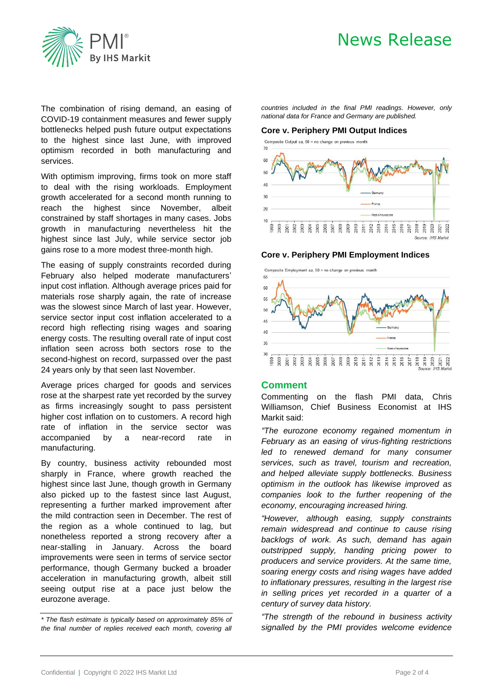

The combination of rising demand, an easing of COVID-19 containment measures and fewer supply bottlenecks helped push future output expectations to the highest since last June, with improved optimism recorded in both manufacturing and services.

With optimism improving, firms took on more staff to deal with the rising workloads. Employment growth accelerated for a second month running to reach the highest since November, albeit constrained by staff shortages in many cases. Jobs growth in manufacturing nevertheless hit the highest since last July, while service sector job gains rose to a more modest three-month high.

The easing of supply constraints recorded during February also helped moderate manufacturers' input cost inflation. Although average prices paid for materials rose sharply again, the rate of increase was the slowest since March of last year. However, service sector input cost inflation accelerated to a record high reflecting rising wages and soaring energy costs. The resulting overall rate of input cost inflation seen across both sectors rose to the second-highest on record, surpassed over the past 24 years only by that seen last November.

Average prices charged for goods and services rose at the sharpest rate yet recorded by the survey as firms increasingly sought to pass persistent higher cost inflation on to customers. A record high rate of inflation in the service sector was accompanied by a near-record rate in manufacturing.

By country, business activity rebounded most sharply in France, where growth reached the highest since last June, though growth in Germany also picked up to the fastest since last August, representing a further marked improvement after the mild contraction seen in December. The rest of the region as a whole continued to lag, but nonetheless reported a strong recovery after a near-stalling in January. Across the board improvements were seen in terms of service sector performance, though Germany bucked a broader acceleration in manufacturing growth, albeit still seeing output rise at a pace just below the eurozone average.

*countries included in the final PMI readings. However, only national data for France and Germany are published.*

#### **Core v. Periphery PMI Output Indices**





#### **Core v. Periphery PMI Employment Indices**

Composite Employment sa, 50 = no change on previous month



### **Comment**

Commenting on the flash PMI data, Chris Williamson, Chief Business Economist at IHS Markit said:

*"The eurozone economy regained momentum in February as an easing of virus-fighting restrictions led to renewed demand for many consumer services, such as travel, tourism and recreation, and helped alleviate supply bottlenecks. Business optimism in the outlook has likewise improved as companies look to the further reopening of the economy, encouraging increased hiring.*

*"However, although easing, supply constraints remain widespread and continue to cause rising backlogs of work. As such, demand has again outstripped supply, handing pricing power to producers and service providers. At the same time, soaring energy costs and rising wages have added to inflationary pressures, resulting in the largest rise in selling prices yet recorded in a quarter of a century of survey data history.*

*"The strength of the rebound in business activity signalled by the PMI provides welcome evidence* 

*<sup>\*</sup> The flash estimate is typically based on approximately 85% of the final number of replies received each month, covering all*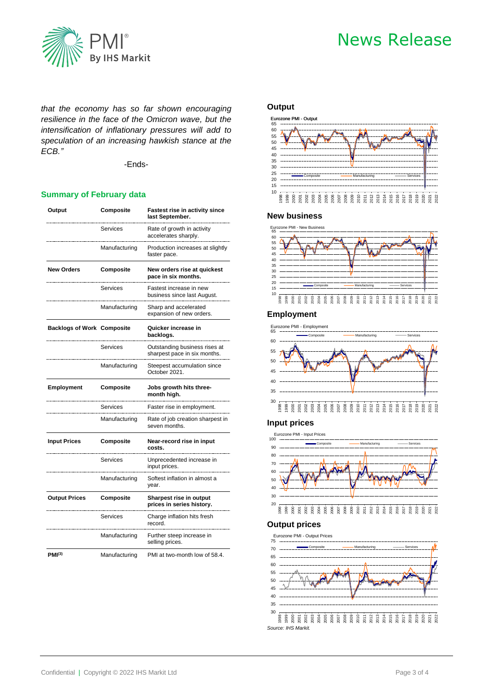

*that the economy has so far shown encouraging resilience in the face of the Omicron wave, but the intensification of inflationary pressures will add to speculation of an increasing hawkish stance at the ECB."*

-Ends-

### **Summary of February data**

| Output                            | Composite     | <b>Fastest rise in activity since</b><br>last September.      |  |
|-----------------------------------|---------------|---------------------------------------------------------------|--|
|                                   | Services      | Rate of growth in activity<br>accelerates sharply.            |  |
|                                   | Manufacturing | Production increases at slightly<br>faster pace.              |  |
| <b>New Orders</b>                 | Composite     | New orders rise at quickest<br>pace in six months.            |  |
|                                   | Services      | Fastest increase in new<br>business since last August.        |  |
|                                   | Manufacturing | Sharp and accelerated<br>expansion of new orders.             |  |
| <b>Backlogs of Work Composite</b> |               | Quicker increase in<br>backlogs.                              |  |
|                                   | Services      | Outstanding business rises at<br>sharpest pace in six months. |  |
|                                   | Manufacturing | Steepest accumulation since<br>October 2021.                  |  |
| <b>Employment</b>                 | Composite     | Jobs growth hits three-<br>month high.                        |  |
|                                   | Services      | Faster rise in employment.                                    |  |
|                                   | Manufacturing | Rate of job creation sharpest in<br>seven months.             |  |
| <b>Input Prices</b>               | Composite     | Near-record rise in input<br>costs.                           |  |
|                                   | Services      | Unprecedented increase in<br>input prices.                    |  |
|                                   | Manufacturing | Softest inflation in almost a<br>year.                        |  |
| <b>Output Prices</b>              | Composite     | Sharpest rise in output<br>prices in series history.          |  |
|                                   | Services      | Charge inflation hits fresh<br>record.                        |  |
|                                   | Manufacturing | Further steep increase in<br>selling prices.                  |  |
| PMI <sup>(3)</sup>                | Manufacturing | PMI at two-month low of 58.4.                                 |  |

#### **Output**



### **New business**



## **Employment**



## **Input prices**



#### **Output prices**